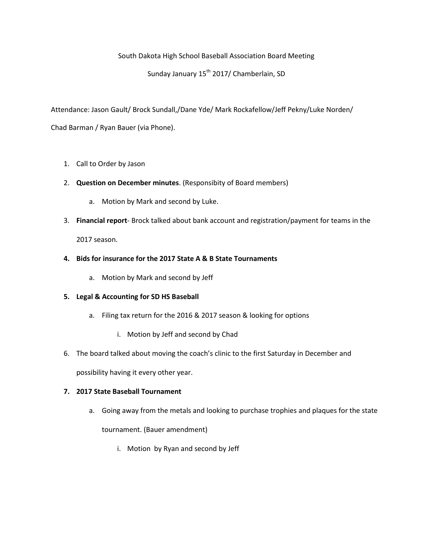## South Dakota High School Baseball Association Board Meeting

# Sunday January 15<sup>th</sup> 2017/ Chamberlain, SD

Attendance: Jason Gault/ Brock Sundall,/Dane Yde/ Mark Rockafellow/Jeff Pekny/Luke Norden/ Chad Barman / Ryan Bauer (via Phone).

#### 1. Call to Order by Jason

- 2. **Question on December minutes**. (Responsibity of Board members)
	- a. Motion by Mark and second by Luke.
- 3. **Financial report** Brock talked about bank account and registration/payment for teams in the

2017 season.

## **4. Bids for insurance for the 2017 State A & B State Tournaments**

a. Motion by Mark and second by Jeff

#### **5. Legal & Accounting for SD HS Baseball**

- a. Filing tax return for the 2016 & 2017 season & looking for options
	- i. Motion by Jeff and second by Chad
- 6. The board talked about moving the coach's clinic to the first Saturday in December and

possibility having it every other year.

#### **7. 2017 State Baseball Tournament**

a. Going away from the metals and looking to purchase trophies and plaques for the state

tournament. (Bauer amendment)

i. Motion by Ryan and second by Jeff